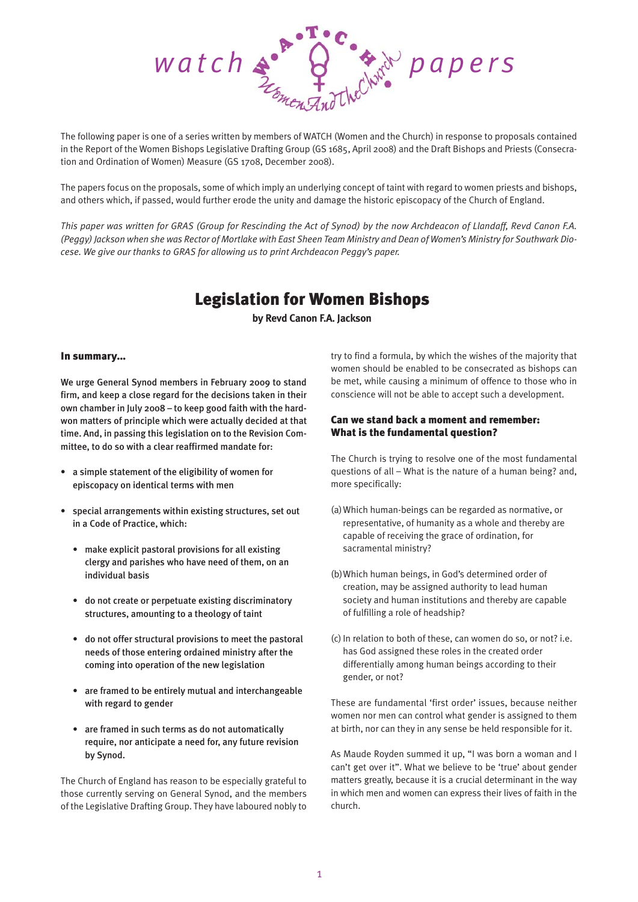

The following paper is one of a series written by members of WATCH (Women and the Church) in response to proposals contained in the Report of the Women Bishops Legislative Drafting Group (GS 1685, April 2008) and the Draft Bishops and Priests (Consecration and Ordination of Women) Measure (GS 1708, December 2008).

The papers focus on the proposals, some of which imply an underlying concept of taint with regard to women priests and bishops, and others which, if passed, would further erode the unity and damage the historic episcopacy of the Church of England.

*This paper was written for GRAS (Group for Rescinding the Act of Synod) by the now Archdeacon of Llandaff, Revd Canon F.A. (Peggy) Jackson when she was Rector of Mortlake with East Sheen Team Ministry and Dean of Women's Ministry for Southwark Diocese. We give our thanks to GRAS for allowing us to print Archdeacon Peggy's paper.*

# Legislation for Women Bishops

**by Revd Canon F.A. Jackson**

#### In summary...

We urge General Synod members in February 2009 to stand firm, and keep a close regard for the decisions taken in their own chamber in July 2008 – to keep good faith with the hardwon matters of principle which were actually decided at that time. And, in passing this legislation on to the Revision Committee, to do so with a clear reaffirmed mandate for:

- a simple statement of the eligibility of women for episcopacy on identical terms with men
- special arrangements within existing structures, set out in a Code of Practice, which:
	- make explicit pastoral provisions for all existing clergy and parishes who have need of them, on an individual basis
	- do not create or perpetuate existing discriminatory structures, amounting to a theology of taint
	- do not offer structural provisions to meet the pastoral needs of those entering ordained ministry after the coming into operation of the new legislation
	- are framed to be entirely mutual and interchangeable with regard to gender
	- are framed in such terms as do not automatically require, nor anticipate a need for, any future revision by Synod.

The Church of England has reason to be especially grateful to those currently serving on General Synod, and the members of the Legislative Drafting Group. They have laboured nobly to try to find a formula, by which the wishes of the majority that women should be enabled to be consecrated as bishops can be met, while causing a minimum of offence to those who in conscience will not be able to accept such a development.

# Can we stand back a moment and remember: What is the fundamental question?

The Church is trying to resolve one of the most fundamental questions of all – What is the nature of a human being? and, more specifically:

- (a)Which human-beings can be regarded as normative, or representative, of humanity as a whole and thereby are capable of receiving the grace of ordination, for sacramental ministry?
- (b)Which human beings, in God's determined order of creation, may be assigned authority to lead human society and human institutions and thereby are capable of fulfilling a role of headship?
- (c) In relation to both of these, can women do so, or not? i.e. has God assigned these roles in the created order differentially among human beings according to their gender, or not?

These are fundamental 'first order' issues, because neither women nor men can control what gender is assigned to them at birth, nor can they in any sense be held responsible for it.

As Maude Royden summed it up, "I was born a woman and I can't get over it". What we believe to be 'true' about gender matters greatly, because it is a crucial determinant in the way in which men and women can express their lives of faith in the church.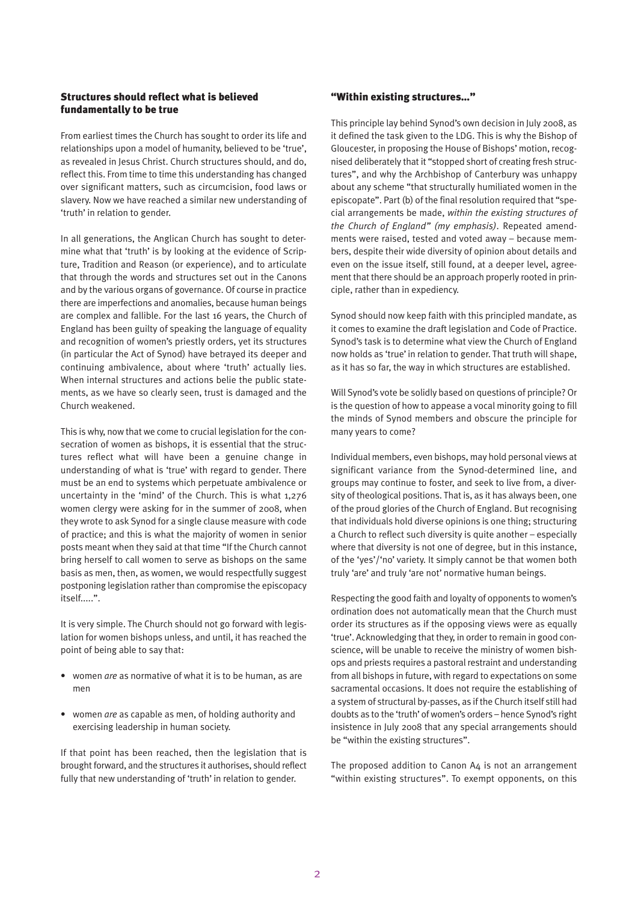## Structures should reflect what is believed fundamentally to be true

From earliest times the Church has sought to order its life and relationships upon a model of humanity, believed to be 'true', as revealed in Jesus Christ. Church structures should, and do, reflect this. From time to time this understanding has changed over significant matters, such as circumcision, food laws or slavery. Now we have reached a similar new understanding of 'truth' in relation to gender.

In all generations, the Anglican Church has sought to determine what that 'truth' is by looking at the evidence of Scripture, Tradition and Reason (or experience), and to articulate that through the words and structures set out in the Canons and by the various organs of governance. Of course in practice there are imperfections and anomalies, because human beings are complex and fallible. For the last 16 years, the Church of England has been guilty of speaking the language of equality and recognition of women's priestly orders, yet its structures (in particular the Act of Synod) have betrayed its deeper and continuing ambivalence, about where 'truth' actually lies. When internal structures and actions belie the public statements, as we have so clearly seen, trust is damaged and the Church weakened.

This is why, now that we come to crucial legislation for the consecration of women as bishops, it is essential that the structures reflect what will have been a genuine change in understanding of what is 'true' with regard to gender. There must be an end to systems which perpetuate ambivalence or uncertainty in the 'mind' of the Church. This is what 1,276 women clergy were asking for in the summer of 2008, when they wrote to ask Synod for a single clause measure with code of practice; and this is what the majority of women in senior posts meant when they said at that time "If the Church cannot bring herself to call women to serve as bishops on the same basis as men, then, as women, we would respectfully suggest postponing legislation rather than compromise the episcopacy itself.....".

It is very simple. The Church should not go forward with legislation for women bishops unless, and until, it has reached the point of being able to say that:

- women *are* as normative of what it is to be human, as are men
- women *are* as capable as men, of holding authority and exercising leadership in human society.

If that point has been reached, then the legislation that is brought forward, and the structures it authorises, should reflect fully that new understanding of 'truth' in relation to gender.

### "Within existing structures..."

This principle lay behind Synod's own decision in July 2008, as it defined the task given to the LDG. This is why the Bishop of Gloucester, in proposing the House of Bishops' motion, recognised deliberately that it "stopped short of creating fresh structures", and why the Archbishop of Canterbury was unhappy about any scheme "that structurally humiliated women in the episcopate". Part (b) of the final resolution required that "special arrangements be made, *within the existing structures of the Church of England" (my emphasis)*. Repeated amendments were raised, tested and voted away – because members, despite their wide diversity of opinion about details and even on the issue itself, still found, at a deeper level, agreement that there should be an approach properly rooted in principle, rather than in expediency.

Synod should now keep faith with this principled mandate, as it comes to examine the draft legislation and Code of Practice. Synod's task is to determine what view the Church of England now holds as 'true' in relation to gender. That truth will shape, as it has so far, the way in which structures are established.

Will Synod's vote be solidly based on questions of principle? Or is the question of how to appease a vocal minority going to fill the minds of Synod members and obscure the principle for many years to come?

Individual members, even bishops, may hold personal views at significant variance from the Synod-determined line, and groups may continue to foster, and seek to live from, a diversity of theological positions. That is, as it has always been, one of the proud glories of the Church of England. But recognising that individuals hold diverse opinions is one thing; structuring a Church to reflect such diversity is quite another – especially where that diversity is not one of degree, but in this instance, of the 'yes'/'no' variety. It simply cannot be that women both truly 'are' and truly 'are not' normative human beings.

Respecting the good faith and loyalty of opponents to women's ordination does not automatically mean that the Church must order its structures as if the opposing views were as equally 'true'. Acknowledging that they, in order to remain in good conscience, will be unable to receive the ministry of women bishops and priests requires a pastoral restraint and understanding from all bishops in future, with regard to expectations on some sacramental occasions. It does not require the establishing of a system of structural by-passes, as if the Church itself still had doubts as to the 'truth' of women's orders – hence Synod's right insistence in July 2008 that any special arrangements should be "within the existing structures".

The proposed addition to Canon A4 is not an arrangement "within existing structures". To exempt opponents, on this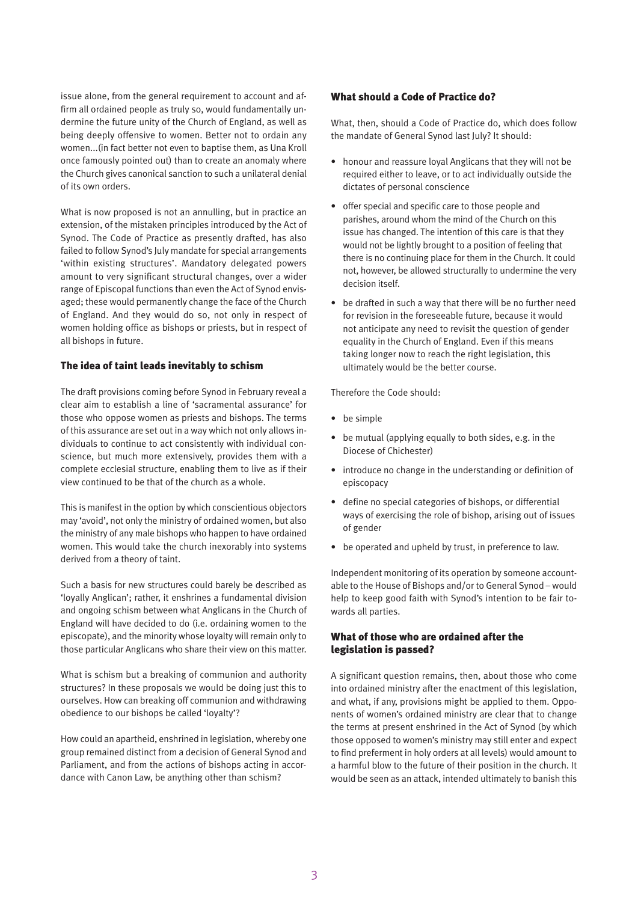issue alone, from the general requirement to account and affirm all ordained people as truly so, would fundamentally undermine the future unity of the Church of England, as well as being deeply offensive to women. Better not to ordain any women...(in fact better not even to baptise them, as Una Kroll once famously pointed out) than to create an anomaly where the Church gives canonical sanction to such a unilateral denial of its own orders.

What is now proposed is not an annulling, but in practice an extension, of the mistaken principles introduced by the Act of Synod. The Code of Practice as presently drafted, has also failed to follow Synod's July mandate for special arrangements 'within existing structures'. Mandatory delegated powers amount to very significant structural changes, over a wider range of Episcopal functions than even the Act of Synod envisaged; these would permanently change the face of the Church of England. And they would do so, not only in respect of women holding office as bishops or priests, but in respect of all bishops in future.

#### The idea of taint leads inevitably to schism

The draft provisions coming before Synod in February reveal a clear aim to establish a line of 'sacramental assurance' for those who oppose women as priests and bishops. The terms of this assurance are set out in a way which not only allows individuals to continue to act consistently with individual conscience, but much more extensively, provides them with a complete ecclesial structure, enabling them to live as if their view continued to be that of the church as a whole.

This is manifest in the option by which conscientious objectors may 'avoid', not only the ministry of ordained women, but also the ministry of any male bishops who happen to have ordained women. This would take the church inexorably into systems derived from a theory of taint.

Such a basis for new structures could barely be described as 'loyally Anglican'; rather, it enshrines a fundamental division and ongoing schism between what Anglicans in the Church of England will have decided to do (i.e. ordaining women to the episcopate), and the minority whose loyalty will remain only to those particular Anglicans who share their view on this matter.

What is schism but a breaking of communion and authority structures? In these proposals we would be doing just this to ourselves. How can breaking off communion and withdrawing obedience to our bishops be called 'loyalty'?

How could an apartheid, enshrined in legislation, whereby one group remained distinct from a decision of General Synod and Parliament, and from the actions of bishops acting in accordance with Canon Law, be anything other than schism?

#### What should a Code of Practice do?

What, then, should a Code of Practice do, which does follow the mandate of General Synod last July? It should:

- honour and reassure loyal Anglicans that they will not be required either to leave, or to act individually outside the dictates of personal conscience
- offer special and specific care to those people and parishes, around whom the mind of the Church on this issue has changed. The intention of this care is that they would not be lightly brought to a position of feeling that there is no continuing place for them in the Church. It could not, however, be allowed structurally to undermine the very decision itself.
- be drafted in such a way that there will be no further need for revision in the foreseeable future, because it would not anticipate any need to revisit the question of gender equality in the Church of England. Even if this means taking longer now to reach the right legislation, this ultimately would be the better course.

Therefore the Code should:

- be simple
- be mutual (applying equally to both sides, e.g. in the Diocese of Chichester)
- introduce no change in the understanding or definition of episcopacy
- define no special categories of bishops, or differential ways of exercising the role of bishop, arising out of issues of gender
- be operated and upheld by trust, in preference to law.

Independent monitoring of its operation by someone accountable to the House of Bishops and/or to General Synod – would help to keep good faith with Synod's intention to be fair towards all parties.

# What of those who are ordained after the legislation is passed?

A significant question remains, then, about those who come into ordained ministry after the enactment of this legislation, and what, if any, provisions might be applied to them. Opponents of women's ordained ministry are clear that to change the terms at present enshrined in the Act of Synod (by which those opposed to women's ministry may still enter and expect to find preferment in holy orders at all levels) would amount to a harmful blow to the future of their position in the church. It would be seen as an attack, intended ultimately to banish this